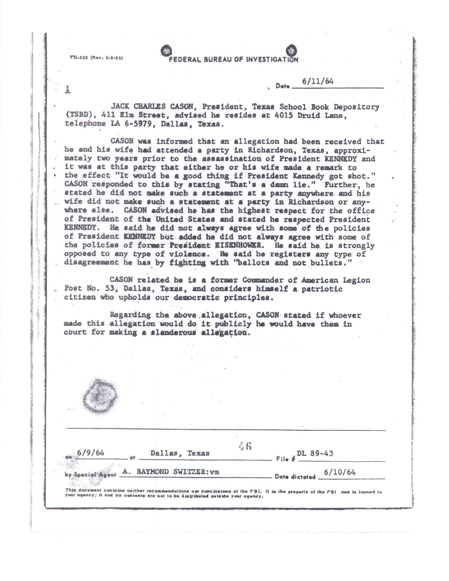$FD-302$  (Rev. 3-3-59)

**DERAL BUREAU OF INVESTIGATION** 

## 1 **Date 6/11/64**

**JACK CHARLES CASON, President, Texas School Book Depository (TSBD), 411 Elm Street, advised he resides at 4015 Druid Lane, telephone LA 6-5979, Dallas, Texas.** 

**CASON was informed that an allegation had been received that he and his wife had attended a party in Richardson,** Texas, approximately **two years prior to the assassination of President KENNEDY and it was at this party that either he or his** *wife made* **a remark to the effect "It would be a good thing if President Kennedy got shot." CASON 'responded to this by stating "That's a damn lie." Further, he stated he did not make such a statement at a party anywhere and** his wife did not **make such a statement at a party in Richardson or anywhere else. CASON advised he has the highest respect for the office**  of **President of the United States and stated he respected President KENNEDY. He said he did not always agree with some of the policies of President KENNEDY but added he did not always agree with some of the policies of former Preiident EISENHOWER. He said he is strongly opposed to any type of violence. He said he registers any type of disagreement he has by fighting with "ballots and not bullets."** 

**CASON related he is a former Commander of American Legion \_ Post No. 53, Dallas, Texas, and considers himself a patriotic citizen who upholds our democratic principles.** 

**Regarding the above. allegation, CASON stated if whoever made this allegation would do it publicly he would have them in court for making a slanderous allegation.** 



| 6/9/64 | Dallas, Texas |  |                                         | File # DL 89-43 |         |
|--------|---------------|--|-----------------------------------------|-----------------|---------|
|        |               |  | by Special Agent A. RAYMOND SWITZER: vm | Date dictated   | 6/10/64 |

This document contains neither recommendations nor conclusions of the FBI. It is the property of the FBI and is loaned to your agency; it and iis contents are not to be distributed outside your agency.